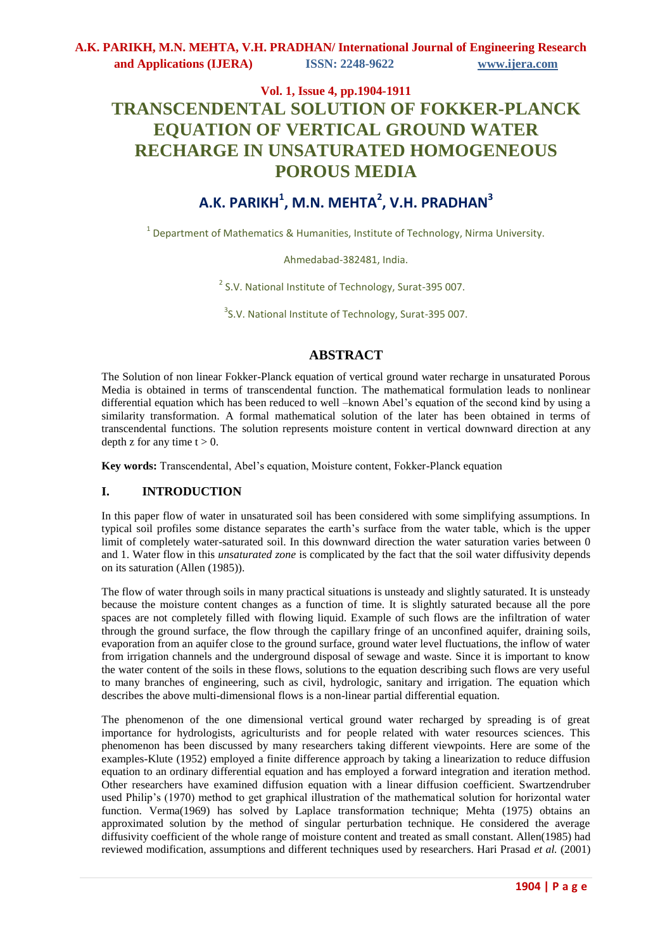# **Vol. 1, Issue 4, pp.1904-1911 TRANSCENDENTAL SOLUTION OF FOKKER-PLANCK EQUATION OF VERTICAL GROUND WATER RECHARGE IN UNSATURATED HOMOGENEOUS POROUS MEDIA**

# **A.K. PARIKH<sup>1</sup> , M.N. MEHTA<sup>2</sup> , V.H. PRADHAN<sup>3</sup>**

<sup>1</sup> Department of Mathematics & Humanities, Institute of Technology, Nirma University.

Ahmedabad-382481, India.

<sup>2</sup> S.V. National Institute of Technology, Surat-395 007.

<sup>3</sup>S.V. National Institute of Technology, Surat-395 007.

# **ABSTRACT**

The Solution of non linear Fokker-Planck equation of vertical ground water recharge in unsaturated Porous Media is obtained in terms of transcendental function. The mathematical formulation leads to nonlinear differential equation which has been reduced to well –known Abel's equation of the second kind by using a similarity transformation. A formal mathematical solution of the later has been obtained in terms of transcendental functions. The solution represents moisture content in vertical downward direction at any depth z for any time  $t > 0$ .

**Key words:** Transcendental, Abel's equation, Moisture content, Fokker-Planck equation

### **I. INTRODUCTION**

In this paper flow of water in unsaturated soil has been considered with some simplifying assumptions. In typical soil profiles some distance separates the earth's surface from the water table, which is the upper limit of completely water-saturated soil. In this downward direction the water saturation varies between 0 and 1. Water flow in this *unsaturated zone* is complicated by the fact that the soil water diffusivity depends on its saturation (Allen (1985)).

The flow of water through soils in many practical situations is unsteady and slightly saturated. It is unsteady because the moisture content changes as a function of time. It is slightly saturated because all the pore spaces are not completely filled with flowing liquid. Example of such flows are the infiltration of water through the ground surface, the flow through the capillary fringe of an unconfined aquifer, draining soils, evaporation from an aquifer close to the ground surface, ground water level fluctuations, the inflow of water from irrigation channels and the underground disposal of sewage and waste. Since it is important to know the water content of the soils in these flows, solutions to the equation describing such flows are very useful to many branches of engineering, such as civil, hydrologic, sanitary and irrigation. The equation which describes the above multi-dimensional flows is a non-linear partial differential equation.

The phenomenon of the one dimensional vertical ground water recharged by spreading is of great importance for hydrologists, agriculturists and for people related with water resources sciences. This phenomenon has been discussed by many researchers taking different viewpoints. Here are some of the examples-Klute (1952) employed a finite difference approach by taking a linearization to reduce diffusion equation to an ordinary differential equation and has employed a forward integration and iteration method. Other researchers have examined diffusion equation with a linear diffusion coefficient. Swartzendruber used Philip's (1970) method to get graphical illustration of the mathematical solution for horizontal water function. Verma(1969) has solved by Laplace transformation technique; Mehta (1975) obtains an approximated solution by the method of singular perturbation technique. He considered the average diffusivity coefficient of the whole range of moisture content and treated as small constant. Allen(1985) had reviewed modification, assumptions and different techniques used by researchers. Hari Prasad *et al.* (2001)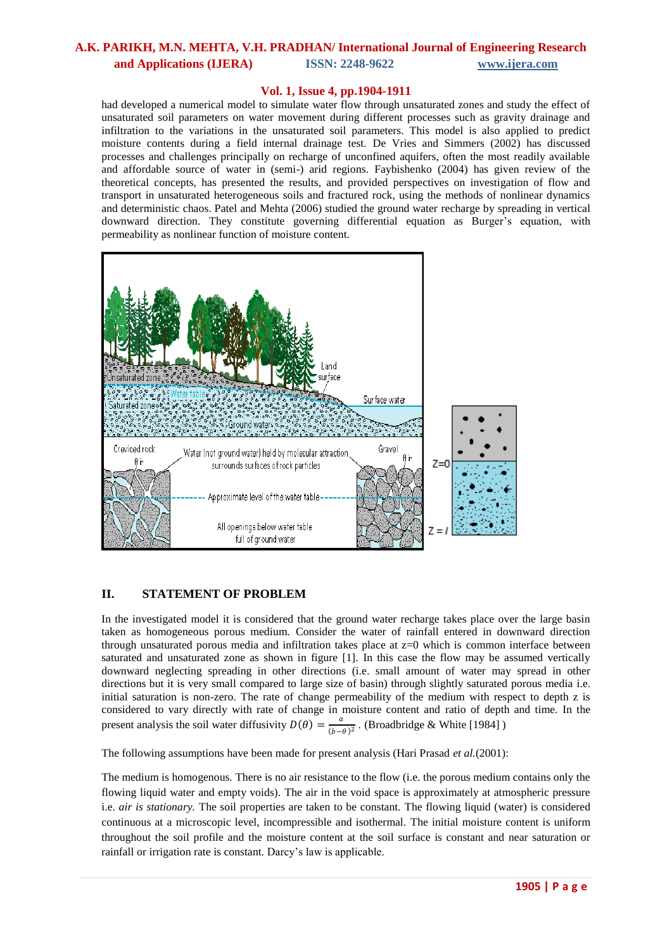### **Vol. 1, Issue 4, pp.1904-1911**

had developed a numerical model to simulate water flow through unsaturated zones and study the effect of unsaturated soil parameters on water movement during different processes such as gravity drainage and infiltration to the variations in the unsaturated soil parameters. This model is also applied to predict moisture contents during a field internal drainage test. De Vries and Simmers (2002) has discussed processes and challenges principally on recharge of unconfined aquifers, often the most readily available and affordable source of water in (semi-) arid regions. Faybishenko (2004) has given review of the theoretical concepts, has presented the results, and provided perspectives on investigation of flow and transport in unsaturated heterogeneous soils and fractured rock, using the methods of nonlinear dynamics and deterministic chaos. Patel and Mehta (2006) studied the ground water recharge by spreading in vertical downward direction. They constitute governing differential equation as Burger's equation, with permeability as nonlinear function of moisture content.



### **II. STATEMENT OF PROBLEM**

In the investigated model it is considered that the ground water recharge takes place over the large basin taken as homogeneous porous medium. Consider the water of rainfall entered in downward direction through unsaturated porous media and infiltration takes place at z=0 which is common interface between saturated and unsaturated zone as shown in figure [1]. In this case the flow may be assumed vertically downward neglecting spreading in other directions (i.e. small amount of water may spread in other directions but it is very small compared to large size of basin) through slightly saturated porous media i.e. initial saturation is non-zero. The rate of change permeability of the medium with respect to depth z is considered to vary directly with rate of change in moisture content and ratio of depth and time. In the present analysis the soil water diffusivity  $D(\theta) = \frac{a}{\sqrt{a}}$  $\frac{a}{(b-\theta)^2}$ . (Broadbridge & White [1984])

The following assumptions have been made for present analysis (Hari Prasad *et al.*(2001):

The medium is homogenous. There is no air resistance to the flow (i.e. the porous medium contains only the flowing liquid water and empty voids). The air in the void space is approximately at atmospheric pressure i.e. *air is stationary*. The soil properties are taken to be constant. The flowing liquid (water) is considered continuous at a microscopic level, incompressible and isothermal. The initial moisture content is uniform throughout the soil profile and the moisture content at the soil surface is constant and near saturation or rainfall or irrigation rate is constant. Darcy's law is applicable.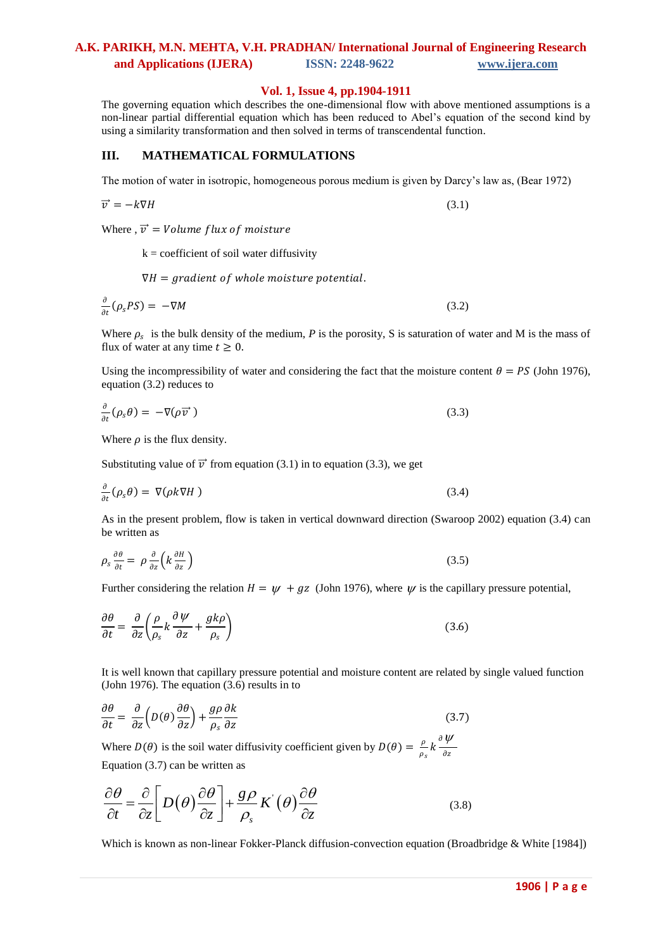#### **Vol. 1, Issue 4, pp.1904-1911**

The governing equation which describes the one-dimensional flow with above mentioned assumptions is a non-linear partial differential equation which has been reduced to Abel's equation of the second kind by using a similarity transformation and then solved in terms of transcendental function.

### **III. MATHEMATICAL FORMULATIONS**

The motion of water in isotropic, homogeneous porous medium is given by Darcy's law as, (Bear 1972)

$$
\overrightarrow{v} = -k\nabla H \tag{3.1}
$$

Where ,  $\vec{v}$  = Volume flux of moisture

 $k =$  coefficient of soil water diffusivity

 $\nabla H = gradient of whole moisture potential.$ 

$$
\frac{\partial}{\partial t}(\rho_s PS) = -\nabla M \tag{3.2}
$$

Where  $\rho_s$  is the bulk density of the medium, *P* is the porosity, *S* is saturation of water and M is the mass of flux of water at any time  $t \geq 0$ .

Using the incompressibility of water and considering the fact that the moisture content  $\theta = PS$  (John 1976), equation (3.2) reduces to

$$
\frac{\partial}{\partial t}(\rho_s \theta) = -\nabla(\rho \overrightarrow{v})
$$
\n(3.3)

Where  $\rho$  is the flux density.

Substituting value of  $\vec{v}$  from equation (3.1) in to equation (3.3), we get

$$
\frac{\partial}{\partial t}(\rho_s \theta) = \nabla(\rho k \nabla H) \tag{3.4}
$$

As in the present problem, flow is taken in vertical downward direction (Swaroop 2002) equation (3.4) can be written as

$$
\rho_s \frac{\partial \theta}{\partial t} = \rho \frac{\partial}{\partial z} \left( k \frac{\partial H}{\partial z} \right) \tag{3.5}
$$

Further considering the relation  $H = \psi + gz$  (John 1976), where  $\psi$  is the capillary pressure potential,

$$
\frac{\partial \theta}{\partial t} = \frac{\partial}{\partial z} \left( \frac{\rho}{\rho_s} k \frac{\partial \psi}{\partial z} + \frac{g k \rho}{\rho_s} \right) \tag{3.6}
$$

It is well known that capillary pressure potential and moisture content are related by single valued function (John 1976). The equation (3.6) results in to

$$
\frac{\partial \theta}{\partial t} = \frac{\partial}{\partial z} \left( D(\theta) \frac{\partial \theta}{\partial z} \right) + \frac{g \rho}{\rho_s} \frac{\partial k}{\partial z} \tag{3.7}
$$

Where  $D(\theta)$  is the soil water diffusivity coefficient given by  $D(\theta) = \frac{\rho}{\epsilon}$  $\frac{\rho}{\rho_s}k\frac{\partial \psi}{\partial z}$ дz Equation (3.7) can be written as

$$
\frac{\partial \theta}{\partial t} = \frac{\partial}{\partial z} \left[ D(\theta) \frac{\partial \theta}{\partial z} \right] + \frac{g \rho}{\rho_s} K'(\theta) \frac{\partial \theta}{\partial z}
$$
(3.8)

Which is known as non-linear Fokker-Planck diffusion-convection equation (Broadbridge & White [1984])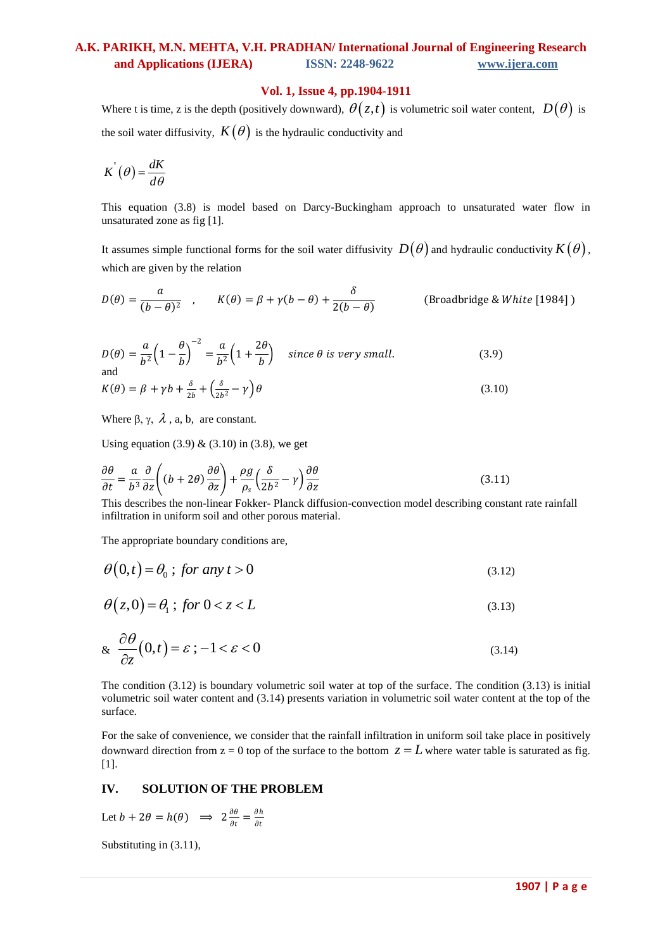### **Vol. 1, Issue 4, pp.1904-1911**

Where t is time, z is the depth (positively downward),  $\theta(z,t)$  is volumetric soil water content,  $D(\theta)$  is the soil water diffusivity,  $K(\theta)$  is the hydraulic conductivity and

$$
K^{'}(\theta) = \frac{dK}{d\theta}
$$

This equation (3.8) is model based on Darcy-Buckingham approach to unsaturated water flow in unsaturated zone as fig [1].

It assumes simple functional forms for the soil water diffusivity  $D(\theta)$  and hydraulic conductivity  $K(\theta)$ , which are given by the relation

$$
D(\theta) = \frac{a}{(b - \theta)^2} \quad , \qquad K(\theta) = \beta + \gamma(b - \theta) + \frac{\delta}{2(b - \theta)} \qquad \text{(Broadbridge & White [1984])}
$$

$$
D(\theta) = \frac{a}{b^2} \left( 1 - \frac{\theta}{b} \right)^{-2} = \frac{a}{b^2} \left( 1 + \frac{2\theta}{b} \right) \quad \text{since } \theta \text{ is very small.} \tag{3.9}
$$

$$
K(\theta) = \beta + \gamma b + \frac{\delta}{2b} + \left(\frac{\delta}{2b^2} - \gamma\right)\theta\tag{3.10}
$$

Where  $\beta$ ,  $\gamma$ ,  $\lambda$ , a, b, are constant.

Using equation (3.9)  $\&$  (3.10) in (3.8), we get

$$
\frac{\partial \theta}{\partial t} = \frac{a}{b^3} \frac{\partial}{\partial z} \left( (b + 2\theta) \frac{\partial \theta}{\partial z} \right) + \frac{\rho g}{\rho_s} \left( \frac{\delta}{2b^2} - \gamma \right) \frac{\partial \theta}{\partial z}
$$
(3.11)

This describes the non-linear Fokker- Planck diffusion-convection model describing constant rate rainfall infiltration in uniform soil and other porous material.

The appropriate boundary conditions are,

$$
\theta(0,t) = \theta_0 \t; \text{ for any } t > 0 \tag{3.12}
$$

$$
\theta(z,0) = \theta_1; \text{ for } 0 < z < L \tag{3.13}
$$

$$
\& \frac{\partial \theta}{\partial z}(0,t) = \varepsilon \, ; \, -1 < \varepsilon < 0 \tag{3.14}
$$

The condition (3.12) is boundary volumetric soil water at top of the surface. The condition (3.13) is initial volumetric soil water content and (3.14) presents variation in volumetric soil water content at the top of the surface.

For the sake of convenience, we consider that the rainfall infiltration in uniform soil take place in positively downward direction from  $z = 0$  top of the surface to the bottom  $z = L$  where water table is saturated as fig. [1].

### **IV. SOLUTION OF THE PROBLEM**

Let  $b + 2\theta = h(\theta) \implies 2\frac{\partial \theta}{\partial t}$  $\frac{\partial \theta}{\partial t} = \frac{\partial h}{\partial t}$ дt

Substituting in (3.11),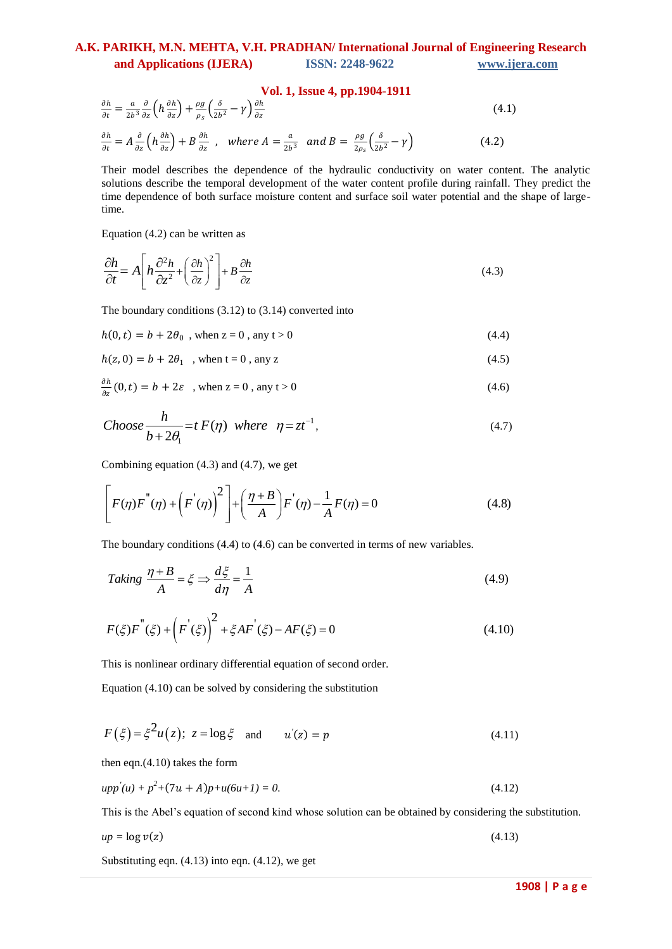$$
\frac{\partial h}{\partial t} = \frac{a}{2b^3} \frac{\partial}{\partial z} \left( h \frac{\partial h}{\partial z} \right) + \frac{\rho g}{\rho_s} \left( \frac{\delta}{2b^2} - \gamma \right) \frac{\partial h}{\partial z}
$$
\n(4.1)\n
$$
\frac{\partial h}{\partial t} = A \frac{\partial}{\partial z} \left( h \frac{\partial h}{\partial z} \right) + B \frac{\partial h}{\partial z} \,, \quad \text{where } A = \frac{a}{2b^3} \text{ and } B = \frac{\rho g}{2\rho_s} \left( \frac{\delta}{2b^2} - \gamma \right) \tag{4.2}
$$

Their model describes the dependence of the hydraulic conductivity on water content. The analytic solutions describe the temporal development of the water content profile during rainfall. They predict the time dependence of both surface moisture content and surface soil water potential and the shape of largetime.

Equation (4.2) can be written as

Equation (4.2) can be written as  
\n
$$
\frac{\partial h}{\partial t} = A \left[ h \frac{\partial^2 h}{\partial z^2} + \left( \frac{\partial h}{\partial z} \right)^2 \right] + B \frac{\partial h}{\partial z}
$$
\n(4.3)

The boundary conditions (3.12) to (3.14) converted into

$$
h(0, t) = b + 2\theta_0, \text{ when } z = 0, \text{ any } t > 0
$$
 (4.4)

$$
h(z, 0) = b + 2\theta_1 \text{ , when } t = 0 \text{ , any } z \tag{4.5}
$$

$$
\frac{\partial h}{\partial z}(0,t) = b + 2\varepsilon \quad \text{when } z = 0 \text{, any } t > 0 \tag{4.6}
$$

Choose 
$$
\frac{h}{b+2\theta_1} = t F(\eta)
$$
 where  $\eta = zt^{-1}$ , (4.7)

Combining equation (4.3) and (4.7), we get  
\n
$$
\left[ F(\eta) F^{''}(\eta) + \left( F^{'}(\eta) \right)^{2} \right] + \left( \frac{\eta + B}{A} \right) F^{'}(\eta) - \frac{1}{A} F(\eta) = 0
$$
\n(4.8)

The boundary conditions (4.4) to (4.6) can be converted in terms of new variables.

The boundary conditions (4.4) to (4.6) can be converted in terms of new variables.  
\nTaking 
$$
\frac{\eta + B}{A} = \xi \Rightarrow \frac{d\xi}{d\eta} = \frac{1}{A}
$$
 (4.9)

$$
F(\xi)F^{''}(\xi) + \left(F^{'}(\xi)\right)^{2} + \xi AF^{'}(\xi) - AF(\xi) = 0
$$
\n(4.10)

This is nonlinear ordinary differential equation of second order.

Equation (4.10) can be solved by considering the substitution

$$
F(\xi) = \xi^2 u(z); \ z = \log \xi \quad \text{and} \quad u'(z) = p \tag{4.11}
$$

then eqn.(4.10) takes the form

$$
upp'(u) + p^2 + (7u + A)p + u(6u + I) = 0.
$$
\n(4.12)

This is the Abel's equation of second kind whose solution can be obtained by considering the substitution.

$$
up = \log v(z) \tag{4.13}
$$

Substituting eqn. (4.13) into eqn. (4.12), we get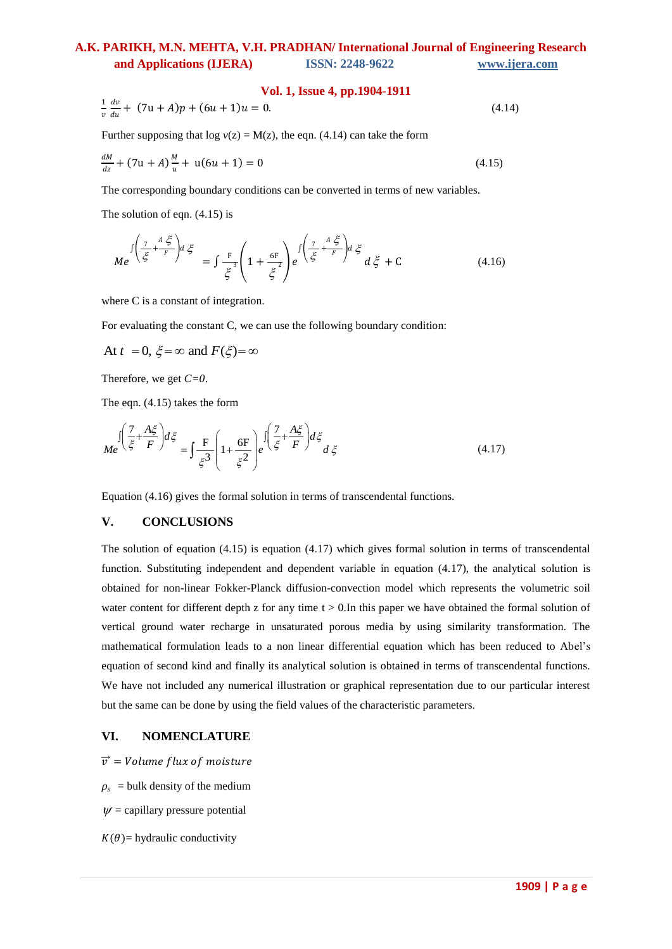#### **Vol. 1, Issue 4, pp.1904-1911**

$$
\frac{1}{v}\frac{dv}{du} + (7u + A)p + (6u + 1)u = 0.
$$
\n(4.14)

Further supposing that  $log v(z) = M(z)$ , the eqn. (4.14) can take the form

$$
\frac{dM}{dz} + (7u + A)\frac{M}{u} + u(6u + 1) = 0
$$
\n(4.15)

The corresponding boundary conditions can be converted in terms of new variables.

The solution of eqn. (4.15) is

$$
Me^{\int \left(\frac{7}{\xi} + \frac{A\,\xi}{F}\right)d\xi} = \int \frac{F}{\xi^3} \left(1 + \frac{6F}{\xi^2}\right) e^{\int \left(\frac{7}{\xi} + \frac{A\,\xi}{F}\right)d\xi} d\xi + C \tag{4.16}
$$

where C is a constant of integration.

For evaluating the constant C, we can use the following boundary condition:

At 
$$
t = 0
$$
,  $\xi = \infty$  and  $F(\xi) = \infty$ 

Therefore, we get *C=0*.

The eqn. (4.15) takes the form

$$
Me^{\int \left(\frac{7}{\xi} + \frac{A\zeta}{F}\right) d\xi} = \int \frac{F}{\xi^3} \left(1 + \frac{6F}{\xi^2}\right) e^{\int \left(\frac{7}{\xi} + \frac{A\zeta}{F}\right) d\xi} d\xi
$$
(4.17)

Equation (4.16) gives the formal solution in terms of transcendental functions.

#### **V. CONCLUSIONS**

The solution of equation (4.15) is equation (4.17) which gives formal solution in terms of transcendental function. Substituting independent and dependent variable in equation (4.17), the analytical solution is obtained for non-linear Fokker-Planck diffusion-convection model which represents the volumetric soil water content for different depth z for any time  $t > 0$ . In this paper we have obtained the formal solution of vertical ground water recharge in unsaturated porous media by using similarity transformation. The mathematical formulation leads to a non linear differential equation which has been reduced to Abel's equation of second kind and finally its analytical solution is obtained in terms of transcendental functions. We have not included any numerical illustration or graphical representation due to our particular interest but the same can be done by using the field values of the characteristic parameters.

### **VI. NOMENCLATURE**

 $\vec{v}$  = Volume flux of moisture

 $\rho_s$  = bulk density of the medium

 $\psi$  = capillary pressure potential

 $K(\theta)$ = hydraulic conductivity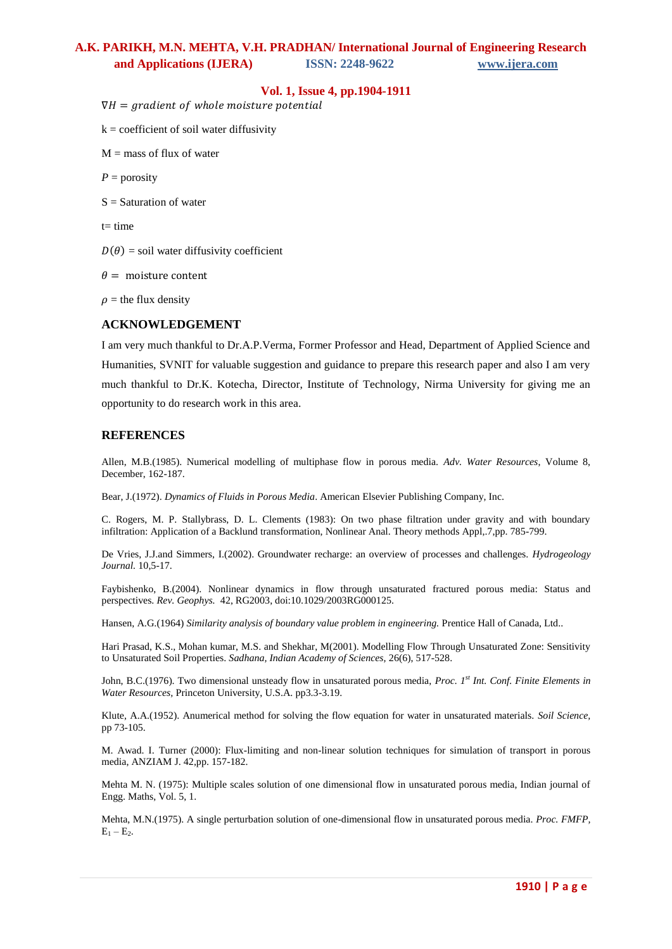### **Vol. 1, Issue 4, pp.1904-1911**

 $\nabla H = gradient of whole moisture potential$ 

 $k =$  coefficient of soil water diffusivity

 $M =$  mass of flux of water

 $P =$  porosity

 $S =$  Saturation of water

 $t=$  time

 $D(\theta)$  = soil water diffusivity coefficient

 $\theta =$  moisture content

 $\rho$  = the flux density

#### **ACKNOWLEDGEMENT**

I am very much thankful to Dr.A.P.Verma, Former Professor and Head, Department of Applied Science and Humanities, SVNIT for valuable suggestion and guidance to prepare this research paper and also I am very much thankful to Dr.K. Kotecha, Director, Institute of Technology, Nirma University for giving me an opportunity to do research work in this area.

#### **REFERENCES**

Allen, M.B.(1985). Numerical modelling of multiphase flow in porous media. *Adv. Water Resources*, Volume 8, December, 162-187.

Bear, J.(1972). *Dynamics of Fluids in Porous Media*. American Elsevier Publishing Company, Inc.

C. Rogers, M. P. Stallybrass, D. L. Clements (1983): On two phase filtration under gravity and with boundary infiltration: Application of a Backlund transformation, Nonlinear Anal. Theory methods Appl,.7,pp. 785-799.

De Vries, J.J.and Simmers, I.(2002). Groundwater recharge: an overview of processes and challenges. *Hydrogeology Journal.* 10,5-17.

Faybishenko, B.(2004). Nonlinear dynamics in flow through unsaturated fractured porous media: Status and perspectives. *Rev. Geophys.* 42, RG2003, doi:10.1029/2003RG000125.

Hansen, A.G.(1964) *Similarity analysis of boundary value problem in engineering.* Prentice Hall of Canada, Ltd..

Hari Prasad, K.S., Mohan kumar, M.S. and Shekhar, M(2001). Modelling Flow Through Unsaturated Zone: Sensitivity to Unsaturated Soil Properties. *Sadhana, Indian Academy of Sciences,* 26(6), 517-528.

John, B.C.(1976). Two dimensional unsteady flow in unsaturated porous media, *Proc. 1st Int. Conf. Finite Elements in Water Resources,* Princeton University, U.S.A. pp3.3-3.19.

Klute, A.A.(1952). Anumerical method for solving the flow equation for water in unsaturated materials. *Soil Science,*  pp 73-105.

M. Awad. I. Turner (2000): Flux-limiting and non-linear solution techniques for simulation of transport in porous media, ANZIAM J. 42,pp. 157-182.

Mehta M. N. (1975): Multiple scales solution of one dimensional flow in unsaturated porous media, Indian journal of Engg. Maths, Vol. 5, 1.

Mehta, M.N.(1975). A single perturbation solution of one-dimensional flow in unsaturated porous media. *Proc. FMFP,*   $E_1 - E_2$ .